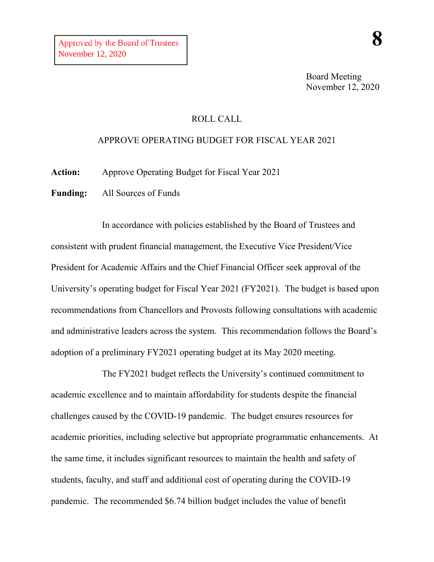## ROLL CALL

## APPROVE OPERATING BUDGET FOR FISCAL YEAR 2021

**Action:** Approve Operating Budget for Fiscal Year 2021

**Funding:** All Sources of Funds

In accordance with policies established by the Board of Trustees and consistent with prudent financial management, the Executive Vice President/Vice President for Academic Affairs and the Chief Financial Officer seek approval of the University's operating budget for Fiscal Year 2021 (FY2021). The budget is based upon recommendations from Chancellors and Provosts following consultations with academic and administrative leaders across the system. This recommendation follows the Board's adoption of a preliminary FY2021 operating budget at its May 2020 meeting.

The FY2021 budget reflects the University's continued commitment to academic excellence and to maintain affordability for students despite the financial challenges caused by the COVID-19 pandemic. The budget ensures resources for academic priorities, including selective but appropriate programmatic enhancements. At the same time, it includes significant resources to maintain the health and safety of students, faculty, and staff and additional cost of operating during the COVID-19 pandemic. The recommended \$6.74 billion budget includes the value of benefit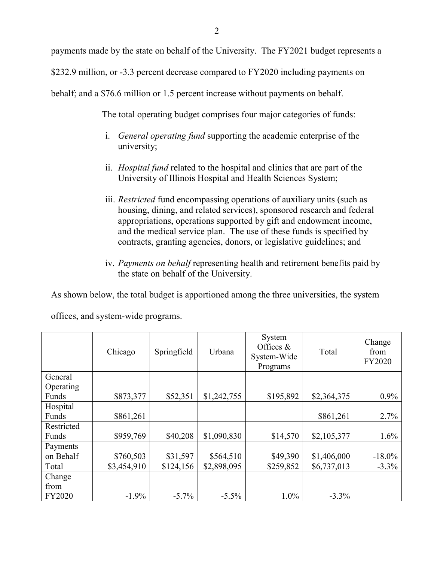payments made by the state on behalf of the University. The FY2021 budget represents a

\$232.9 million, or -3.3 percent decrease compared to FY2020 including payments on

behalf; and a \$76.6 million or 1.5 percent increase without payments on behalf.

The total operating budget comprises four major categories of funds:

- i. *General operating fund* supporting the academic enterprise of the university;
- ii. *Hospital fund* related to the hospital and clinics that are part of the University of Illinois Hospital and Health Sciences System;
- iii. *Restricted* fund encompassing operations of auxiliary units (such as housing, dining, and related services), sponsored research and federal appropriations, operations supported by gift and endowment income, and the medical service plan. The use of these funds is specified by contracts, granting agencies, donors, or legislative guidelines; and
- iv. *Payments on behalf* representing health and retirement benefits paid by the state on behalf of the University.

As shown below, the total budget is apportioned among the three universities, the system

|            | Chicago     | Springfield | Urbana      | System<br>Offices $&$<br>System-Wide<br>Programs | Total       | Change<br>from<br>FY2020 |
|------------|-------------|-------------|-------------|--------------------------------------------------|-------------|--------------------------|
| General    |             |             |             |                                                  |             |                          |
| Operating  |             |             |             |                                                  |             |                          |
| Funds      | \$873,377   | \$52,351    | \$1,242,755 | \$195,892                                        | \$2,364,375 | $0.9\%$                  |
| Hospital   |             |             |             |                                                  |             |                          |
| Funds      | \$861,261   |             |             |                                                  | \$861,261   | 2.7%                     |
| Restricted |             |             |             |                                                  |             |                          |
| Funds      | \$959,769   | \$40,208    | \$1,090,830 | \$14,570                                         | \$2,105,377 | 1.6%                     |
| Payments   |             |             |             |                                                  |             |                          |
| on Behalf  | \$760,503   | \$31,597    | \$564,510   | \$49,390                                         | \$1,406,000 | $-18.0\%$                |
| Total      | \$3,454,910 | \$124,156   | \$2,898,095 | \$259,852                                        | \$6,737,013 | $-3.3\%$                 |
| Change     |             |             |             |                                                  |             |                          |
| from       |             |             |             |                                                  |             |                          |
| FY2020     | $-1.9%$     | $-5.7\%$    | $-5.5\%$    | 1.0%                                             | $-3.3%$     |                          |

offices, and system-wide programs.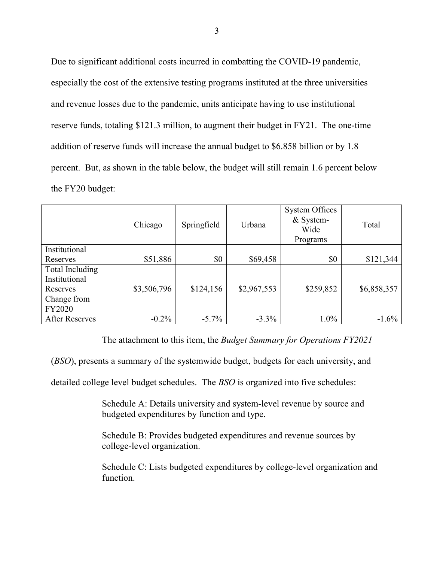Due to significant additional costs incurred in combatting the COVID-19 pandemic, especially the cost of the extensive testing programs instituted at the three universities and revenue losses due to the pandemic, units anticipate having to use institutional reserve funds, totaling \$121.3 million, to augment their budget in FY21. The one-time addition of reserve funds will increase the annual budget to \$6.858 billion or by 1.8 percent. But, as shown in the table below, the budget will still remain 1.6 percent below the FY20 budget:

|                       | Chicago     | Springfield | Urbana      | <b>System Offices</b><br>& System-<br>Wide<br>Programs | Total       |
|-----------------------|-------------|-------------|-------------|--------------------------------------------------------|-------------|
| Institutional         |             |             |             |                                                        |             |
| Reserves              | \$51,886    | \$0         | \$69,458    | \$0                                                    | \$121,344   |
| Total Including       |             |             |             |                                                        |             |
| Institutional         |             |             |             |                                                        |             |
| Reserves              | \$3,506,796 | \$124,156   | \$2,967,553 | \$259,852                                              | \$6,858,357 |
| Change from           |             |             |             |                                                        |             |
| <b>FY2020</b>         |             |             |             |                                                        |             |
| <b>After Reserves</b> | $-0.2\%$    | $-5.7\%$    | $-3.3\%$    | $1.0\%$                                                | $-1.6\%$    |

The attachment to this item, the *Budget Summary for Operations FY2021*

(*BSO*), presents a summary of the systemwide budget, budgets for each university, and

detailed college level budget schedules. The *BSO* is organized into five schedules:

Schedule A: Details university and system-level revenue by source and budgeted expenditures by function and type.

Schedule B: Provides budgeted expenditures and revenue sources by college-level organization.

Schedule C: Lists budgeted expenditures by college-level organization and function.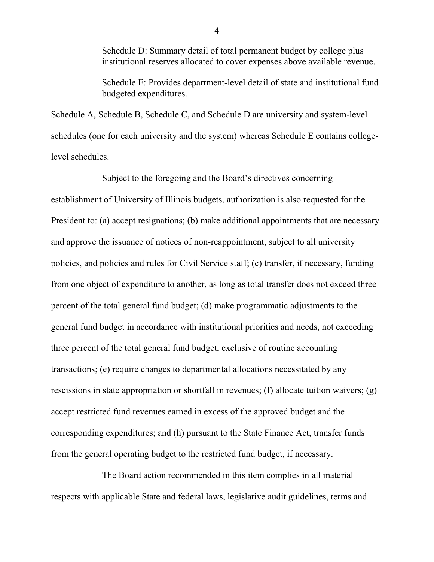Schedule D: Summary detail of total permanent budget by college plus institutional reserves allocated to cover expenses above available revenue.

Schedule E: Provides department-level detail of state and institutional fund budgeted expenditures.

Schedule A, Schedule B, Schedule C, and Schedule D are university and system-level schedules (one for each university and the system) whereas Schedule E contains collegelevel schedules.

Subject to the foregoing and the Board's directives concerning establishment of University of Illinois budgets, authorization is also requested for the President to: (a) accept resignations; (b) make additional appointments that are necessary and approve the issuance of notices of non-reappointment, subject to all university policies, and policies and rules for Civil Service staff; (c) transfer, if necessary, funding from one object of expenditure to another, as long as total transfer does not exceed three percent of the total general fund budget; (d) make programmatic adjustments to the general fund budget in accordance with institutional priorities and needs, not exceeding three percent of the total general fund budget, exclusive of routine accounting transactions; (e) require changes to departmental allocations necessitated by any rescissions in state appropriation or shortfall in revenues; (f) allocate tuition waivers; (g) accept restricted fund revenues earned in excess of the approved budget and the corresponding expenditures; and (h) pursuant to the State Finance Act, transfer funds from the general operating budget to the restricted fund budget, if necessary.

The Board action recommended in this item complies in all material respects with applicable State and federal laws, legislative audit guidelines, terms and

4